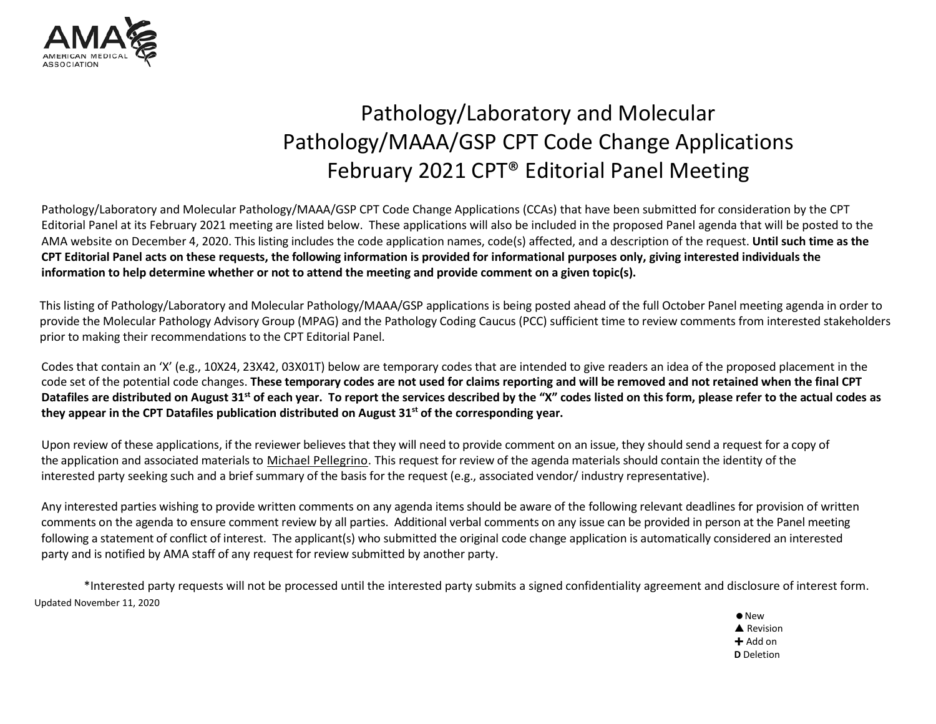

## Pathology/Laboratory and Molecular Pathology/MAAA/GSP CPT Code Change Applications February 2021 CPT® Editorial Panel Meeting

Pathology/Laboratory and Molecular Pathology/MAAA/GSP CPT Code Change Applications (CCAs) that have been submitted for consideration by the CPT Editorial Panel at its February 2021 meeting are listed below. These applications will also be included in the proposed Panel agenda that will be posted to the AMA website on December 4, 2020. This listing includes the code application names, code(s) affected, and a description of the request. **Until such time as the** CPT Editorial Panel acts on these requests, the following information is provided for informational purposes only, giving interested individuals the information to help determine whether or not to attend the meeting and provide comment on a given topic(s).

This listing of Pathology/Laboratory and Molecular Pathology/MAAA/GSP applications is being posted ahead of the full October Panel meeting agenda in order to provide the Molecular Pathology Advisory Group (MPAG) and the Pathology Coding Caucus (PCC) sufficient time to review comments from interested stakeholders prior to making their recommendations to the CPT Editorial Panel.

Codes that contain an 'X' (e.g., 10X24, 23X42, 03X01T) below are temporary codes that are intended to give readers an idea of the proposed placement in the code set of the potential code changes. These temporary codes are not used for claims reporting and will be removed and not retained when the final CPT Datafiles are distributed on August 31<sup>st</sup> of each year. To report the services described by the "X" codes listed on this form, please refer to the actual codes as **they appear in the CPT Datafiles publication distributed on August 31st of the corresponding year.**

Upon review of these applications, if the reviewer believes that they will need to provide comment on an issue, they should send a request for a copy of the application and associated materials to [Michael Pellegrino.](mailto:Michael.Pellegrino@ama-assn.org) This request for review of the agenda materials should contain the identity of the interested party seeking such and a brief summary of the basis for the request (e.g., associated vendor/ industry representative).

Any interested parties wishing to provide written comments on any agenda items should be aware of the following relevant deadlines for provision of written comments on the agenda to ensure comment review by all parties. Additional verbal comments on any issue can be provided in person at the Panel meeting following a statement of conflict of interest. The applicant(s) who submitted the original code change application is automatically considered an interested party and is notified by AMA staff of any request for review submitted by another party.

Updated November 11, 2020 \*Interested party requests will not be processed until the interested party submits a signed confidentiality agreement and disclosure of interest form.

 $\bullet$  New **A** Revision  $+$  Add on **D** Deletion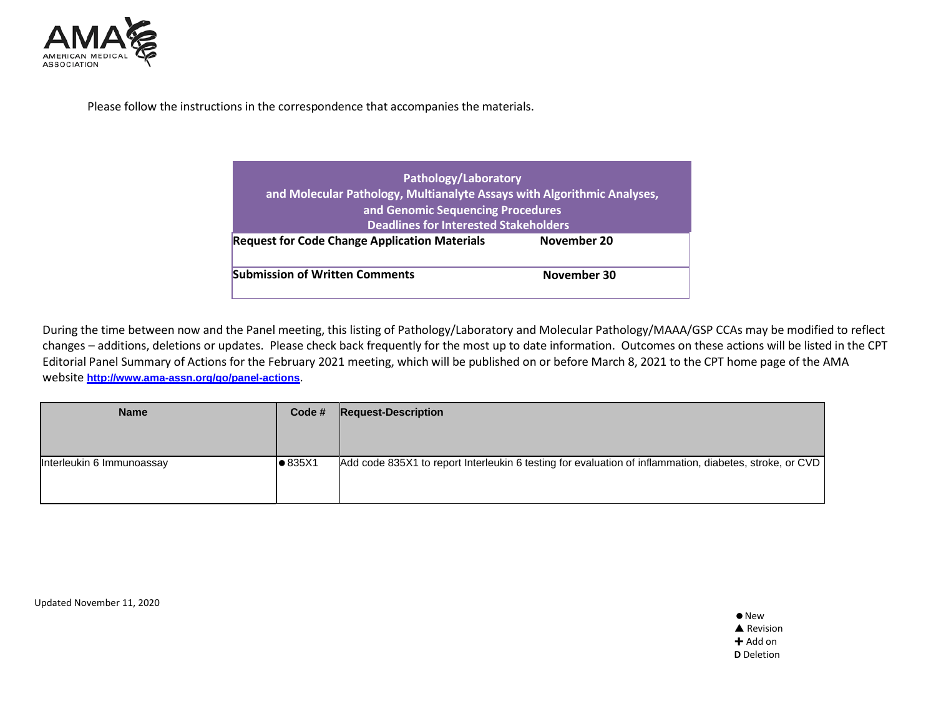

Please follow the instructions in the correspondence that accompanies the materials.

| and Molecular Pathology, Multianalyte Assays with Algorithmic Analyses, |  |  |  |  |
|-------------------------------------------------------------------------|--|--|--|--|
| and Genomic Sequencing Procedures                                       |  |  |  |  |
| <b>Deadlines for Interested Stakeholders</b>                            |  |  |  |  |
| November 20                                                             |  |  |  |  |
| November 30                                                             |  |  |  |  |
|                                                                         |  |  |  |  |

During the time between now and the Panel meeting, this listing of Pathology/Laboratory and Molecular Pathology/MAAA/GSP CCAs may be modified to reflect changes – additions, deletions or updates. Please check back frequently for the most up to date information. Outcomes on these actions will be listed in the CPT Editorial Panel Summary of Actions for the February 2021 meeting, which will be published on or before March 8, 2021 to the CPT home page of the AMA website **<http://www.ama-assn.org/go/panel-actions>**.

| <b>Name</b>               | Code #          | <b>Request-Description</b>                                                                              |
|---------------------------|-----------------|---------------------------------------------------------------------------------------------------------|
|                           |                 |                                                                                                         |
|                           |                 |                                                                                                         |
| Interleukin 6 Immunoassay | $\bullet$ 835X1 | Add code 835X1 to report Interleukin 6 testing for evaluation of inflammation, diabetes, stroke, or CVD |
|                           |                 |                                                                                                         |
|                           |                 |                                                                                                         |

Updated November 11, 2020

 $\bullet$  New **▲ Revision**  $+$  Add on **D** Deletion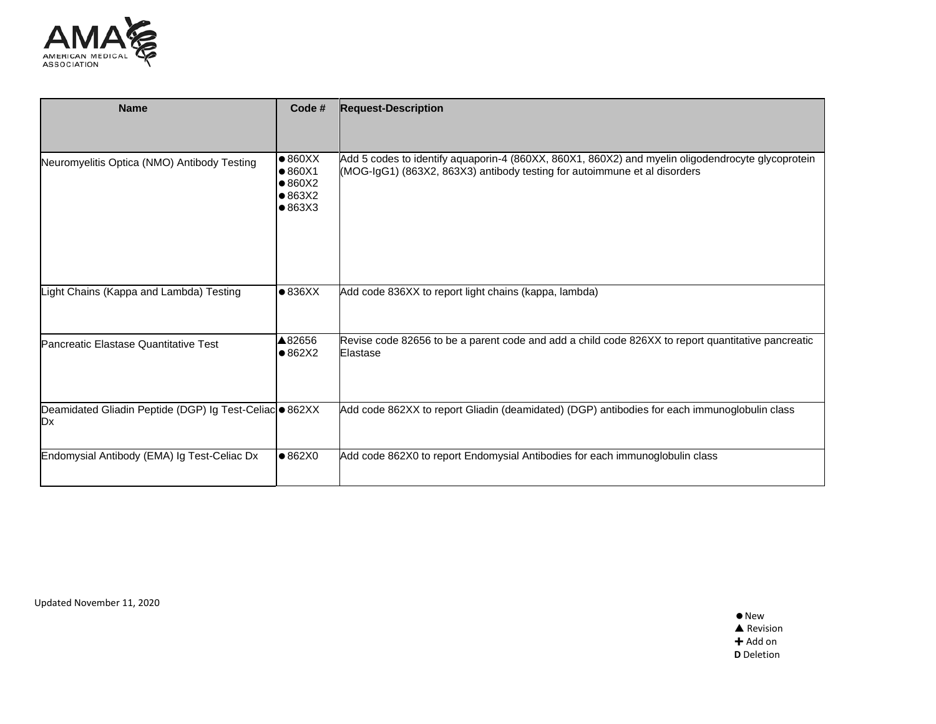

| <b>Name</b>                                                                       | Code #                                                                                               | <b>Request-Description</b>                                                                                                                                                     |
|-----------------------------------------------------------------------------------|------------------------------------------------------------------------------------------------------|--------------------------------------------------------------------------------------------------------------------------------------------------------------------------------|
|                                                                                   |                                                                                                      |                                                                                                                                                                                |
| Neuromyelitis Optica (NMO) Antibody Testing                                       | $\bullet 860XX$<br>$\bullet$ 860 $\times$ 1<br>$\bullet$ 860X2<br>$\bullet$ 863X2<br>$\bullet$ 863X3 | Add 5 codes to identify aquaporin-4 (860XX, 860X1, 860X2) and myelin oligodendrocyte glycoprotein<br>(MOG-IgG1) (863X2, 863X3) antibody testing for autoimmune et al disorders |
| Light Chains (Kappa and Lambda) Testing                                           | • 836XX                                                                                              | Add code 836XX to report light chains (kappa, lambda)                                                                                                                          |
|                                                                                   |                                                                                                      |                                                                                                                                                                                |
| Pancreatic Elastase Quantitative Test                                             | ▲82656<br>$\bullet$ 862X2                                                                            | Revise code 82656 to be a parent code and add a child code 826XX to report quantitative pancreatic<br>Elastase                                                                 |
| Deamidated Gliadin Peptide (DGP) Ig Test-Celiac · 862XX<br><b>ID</b> <sub>x</sub> |                                                                                                      | Add code 862XX to report Gliadin (deamidated) (DGP) antibodies for each immunoglobulin class                                                                                   |
| Endomysial Antibody (EMA) Ig Test-Celiac Dx                                       | •862X0                                                                                               | Add code 862X0 to report Endomysial Antibodies for each immunoglobulin class                                                                                                   |

Updated November 11, 2020